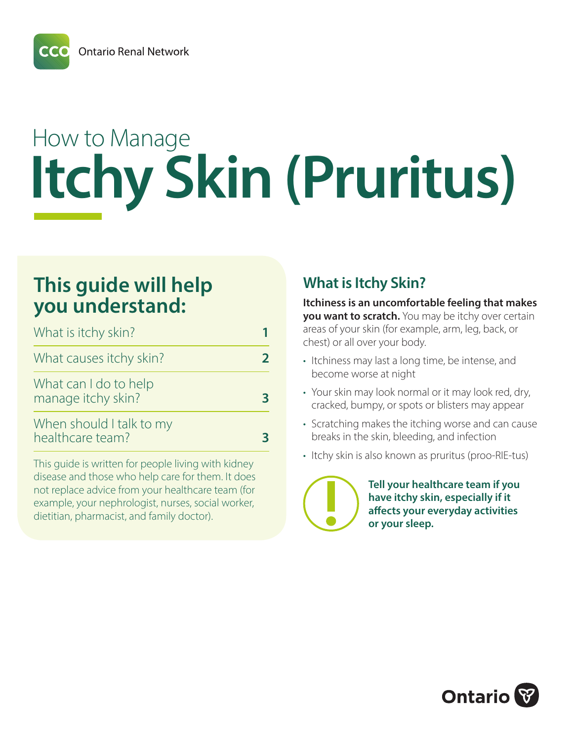# How to Manage **Itchy Skin (Pruritus)**

# **This guide will help you understand:**

| What is itchy skin?                          |  |
|----------------------------------------------|--|
| What causes itchy skin?                      |  |
| What can I do to help<br>manage itchy skin?  |  |
| When should I talk to my<br>healthcare team? |  |

This guide is written for people living with kidney disease and those who help care for them. It does not replace advice from your healthcare team (for example, your nephrologist, nurses, social worker, dietitian, pharmacist, and family doctor).

# **What is Itchy Skin?**

**Itchiness is an uncomfortable feeling that makes you want to scratch.** You may be itchy over certain areas of your skin (for example, arm, leg, back, or chest) or all over your body.

- Itchiness may last a long time, be intense, and become worse at night
- Your skin may look normal or it may look red, dry, cracked, bumpy, or spots or blisters may appear
- Scratching makes the itching worse and can cause breaks in the skin, bleeding, and infection
- Itchy skin is also known as pruritus (proo-RIE-tus)



**Tell your healthcare team if you have itchy skin, especially if it affects your everyday activities or your sleep.**

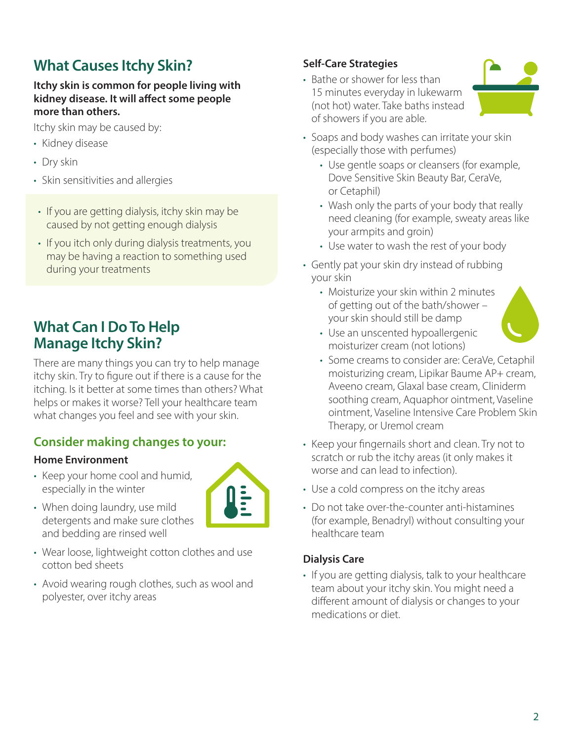# **What Causes Itchy Skin?**

#### **Itchy skin is common for people living with kidney disease. It will affect some people more than others.**

Itchy skin may be caused by:

- Kidney disease
- Dry skin
- Skin sensitivities and allergies
- If you are getting dialysis, itchy skin may be caused by not getting enough dialysis
- If you itch only during dialysis treatments, you may be having a reaction to something used during your treatments

## **What Can I Do To Help Manage Itchy Skin?**

There are many things you can try to help manage itchy skin. Try to figure out if there is a cause for the itching. Is it better at some times than others? What helps or makes it worse? Tell your healthcare team what changes you feel and see with your skin.

### **Consider making changes to your:**

#### **Home Environment**

• Keep your home cool and humid, especially in the winter



- When doing laundry, use mild detergents and make sure clothes and bedding are rinsed well
- Wear loose, lightweight cotton clothes and use cotton bed sheets
- Avoid wearing rough clothes, such as wool and polyester, over itchy areas

#### **Self-Care Strategies**

• Bathe or shower for less than 15 minutes everyday in lukewarm (not hot) water. Take baths instead of showers if you are able.



- Soaps and body washes can irritate your skin (especially those with perfumes)
	- Use gentle soaps or cleansers (for example, Dove Sensitive Skin Beauty Bar, CeraVe, or Cetaphil)
	- Wash only the parts of your body that really need cleaning (for example, sweaty areas like your armpits and groin)
	- Use water to wash the rest of your body
- Gently pat your skin dry instead of rubbing your skin
	- Moisturize your skin within 2 minutes of getting out of the bath/shower – your skin should still be damp



- Use an unscented hypoallergenic moisturizer cream (not lotions)
- Some creams to consider are: CeraVe, Cetaphil moisturizing cream, Lipikar Baume AP+ cream, Aveeno cream, Glaxal base cream, Cliniderm soothing cream, Aquaphor ointment, Vaseline ointment, Vaseline Intensive Care Problem Skin Therapy, or Uremol cream
- Keep your fingernails short and clean. Try not to scratch or rub the itchy areas (it only makes it worse and can lead to infection).
- Use a cold compress on the itchy areas
- Do not take over-the-counter anti-histamines (for example, Benadryl) without consulting your healthcare team

#### **Dialysis Care**

• If you are getting dialysis, talk to your healthcare team about your itchy skin. You might need a different amount of dialysis or changes to your medications or diet.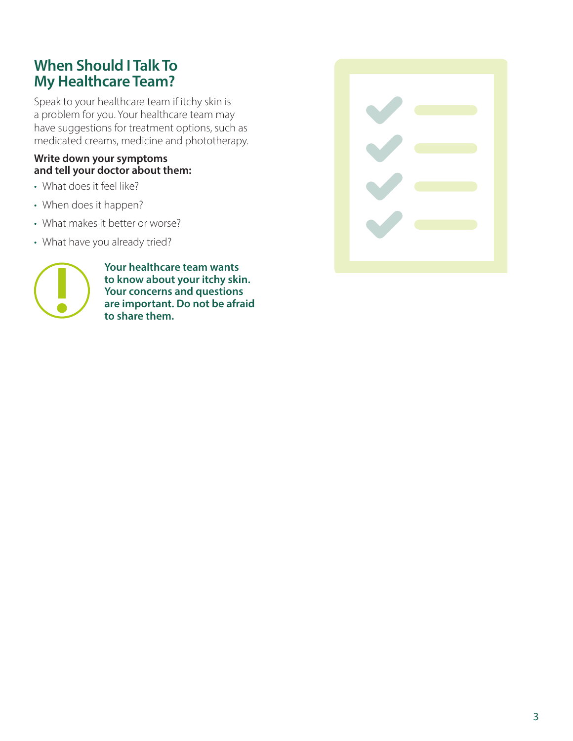## **When Should I Talk To My Healthcare Team?**

Speak to your healthcare team if itchy skin is a problem for you. Your healthcare team may have suggestions for treatment options, such as medicated creams, medicine and phototherapy.

#### **Write down your symptoms and tell your doctor about them:**

- What does it feel like?
- When does it happen?
- What makes it better or worse?
- What have you already tried?



**Your healthcare team wants to know about your itchy skin. Your concerns and questions are important. Do not be afraid to share them.**